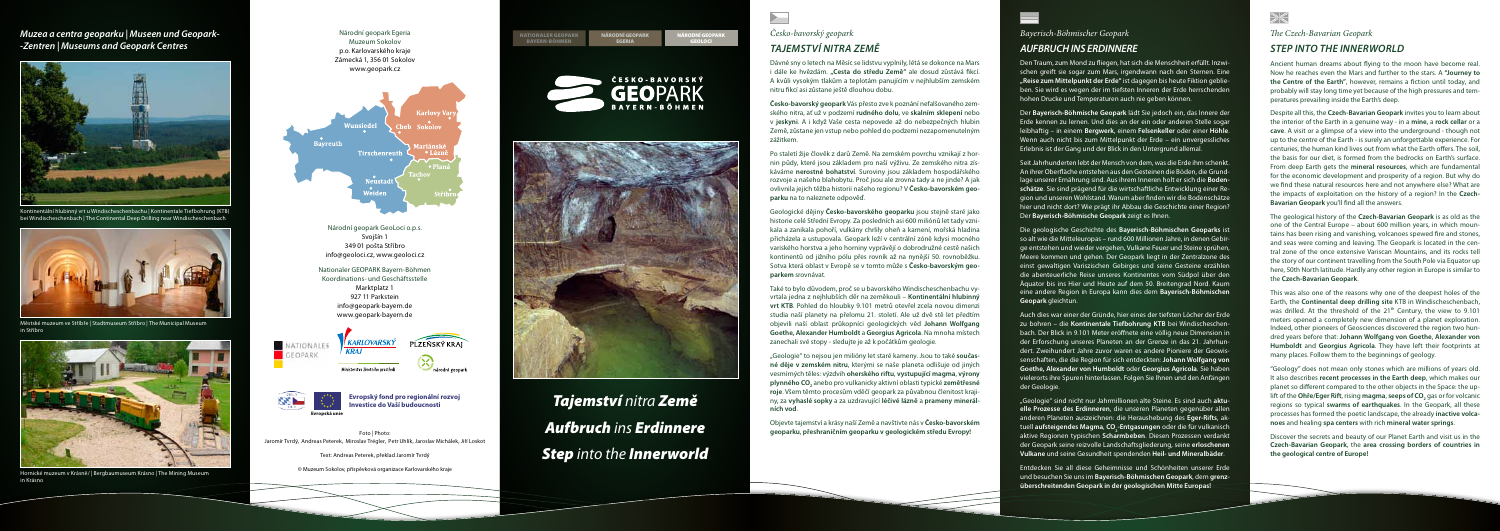## *Česko-bavorský geopark Tajemství nitra Země*

# *Bayerisch-Böhmischer Geopark*

## *Aufbruch ins Erdinnere*

#### *The Czech-Bavarian Geopark*

### *Step into the Innerworld*

Dávné sny o letech na Měsíc se lidstvu vyplnily, létá se dokonce na Mars i dále ke hvězdám. **"Cesta do středu Země"** ale dosud zůstává fikcí. A kvůli vysokým tlakům a teplotám panujícím v nejhlubším zemském nitru fikcí asi zůstane ještě dlouhou dobu.

**Česko-bavorský geopark** Vás přesto zve k poznání nefalšovaného zemského nitra, ať už v podzemí **rudného dolu**, ve **skalním sklepení** nebo v **jeskyni**. A i když Vaše cesta nepovede až do nebezpečných hlubin Země, zůstane jen vstup nebo pohled do podzemí nezapomenutelným

zážitkem.

Po staletí žije člověk z darů Země. Na zemském povrchu vznikají z hornin půdy, které jsou základem pro naší výživu. Ze zemského nitra získáváme **nerostné bohatství**. Suroviny jsou základem hospodářského rozvoje a našeho blahobytu. Proč jsou ale zrovna tady a ne jinde? A jak ovlivnila jejich těžba historii našeho regionu? V **Česko-bavorském geoparku** na to naleznete odpověď.

Geologické dějiny **Česko-bavorského geoparku** jsou stejně staré jako historie celé Střední Evropy. Za posledních asi 600 miliónů let tady vznikala a zanikala pohoří, vulkány chrlily oheň a kamení, mořská hladina přicházela a ustupovala. Geopark leží v centrální zóně kdysi mocného variského horstva a jeho horniny vyprávějí o dobrodružné cestě našich kontinentů od jižního pólu přes rovník až na nynější 50. rovnoběžku. Sotva která oblast v Evropě se v tomto může s **Česko-bavorským geo-**

**parkem** srovnávat.

Také to bylo důvodem, proč se u bavorského Windischeschenbachu vyvrtala jedna z nejhlubších děr na zeměkouli – **Kontinentální hlubinný vrt KTB**. Pohled do hloubky 9.101 metrů otevřel zcela novou dimenzi studia naší planety na přelomu 21. století. Ale už dvě stě let předtím objevili naší oblast průkopníci geologických věd **Johann Wolfgang Goethe, Alexander Humboldt** a **Georgius Agricola**. Na mnoha místech zanechali své stopy - sledujte je až k počátkům geologie.

"Geologie" to nejsou jen milióny let staré kameny. Jsou to také **současné děje v zemském nitru**, kterými se naše planeta odlišuje od jiných vesmírných těles: výzdvih **oherského riftu**, **vystupující magma**, **výrony plynného CO2** anebo pro vulkanicky aktivní oblasti typické **zemětřesné roje**. Všem těmto procesům vděčí geopark za půvabnou členitost krajiny, za **vyhaslé sopky** a za uzdravující **léčivé lázně** a **prameny minerál-**

**ních vod**.

Objevte tajemství a krásy naší Země a navštivte nás v **Česko-bavorském geoparku**, **přeshraničním geoparku v geologickém středu Evropy!**



Ancient human dreams about flying to the moon have become real. Now he reaches even the Mars and further to the stars. A **"Journey to the Centre of the Earth"**, however, remains a fiction until today, and probably will stay long time yet because of the high pressures and temperatures prevailing inside the Earth's deep.

Despite all this, the **Czech-Bavarian Geopark** invites you to learn about the interior of the Earth in a genuine way - in a **mine**, a **rock cellar** or a **cave**. A visit or a glimpse of a view into the underground - though not up to the centre of the Earth - is surely an unforgettable experience. For centuries, the human kind lives out from what the Earth offers. The soil, the basis for our diet, is formed from the bedrocks on Earth's surface. From deep Earth gets the **mineral resources**, which are fundamental for the economic development and prosperity of a region. But why do we find these natural resources here and not anywhere else? What are the impacts of exploitation on the history of a region? In the **Czech-Bavarian Geopark** you'll find all the answers.

The geological history of the **Czech-Bavarian Geopark** is as old as the one of the Central Europe – about 600 million years, in which mountains has been rising and vanishing, volcanoes spewed fire and stones, and seas were coming and leaving. The Geopark is located in the central zone of the once extensive Variscan Mountains, and its rocks tell the story of our continent travelling from the South Pole via Equator up here, 50th North latitude. Hardly any other region in Europe is similar to the **Czech-Bavarian Geopark**.

This was also one of the reasons why one of the deepest holes of the Earth, the **Continental deep drilling site** KTB in Windischeschenbach, was drilled. At the threshold of the 21<sup>th</sup> Century, the view to 9.101 meters opened a completely new dimension of a planet exploration. Indeed, other pioneers of Geosciences discovered the region two hundred years before that: **Johann Wolfgang von Goethe**, **Alexander von Humboldt** and **Georgius Agricola**. They have left their footprints at many places. Follow them to the beginnings of geology.

"Geology" does not mean only stones which are millions of years old. It also describes **recent processes in the Earth deep**, which makes our planet so different compared to the other objects in the Space: the uplift of the **Ohře/Eger Rift**, rising **magma, seeps of CO<sub>2</sub> g**as or for volcanic regions so typical **swarms of earthquakes**. In the Geopark, all these processes has formed the poetic landscape, the already **inactive volcanoes** and healing **spa centers** with rich **mineral water springs**.

Discover the secrets and beauty of our Planet Earth and visit us in the **Czech-Bavarian Geopark**, the **area crossing borders of countries in the geological centre of Europe!**

Den Traum, zum Mond zu fliegen, hat sich die Menschheit erfüllt. Inzwischen greift sie sogar zum Mars, irgendwann nach den Sternen. Eine **"Reise zum Mittelpunkt der Erde"** ist dagegen bis heute Fiktion geblieben. Sie wird es wegen der im tiefsten Inneren der Erde herrschenden hohen Drucke und Temperaturen auch nie geben können.

Der **Bayerisch-Böhmische Geopark** lädt Sie jedoch ein, das Innere der Erde kennen zu lernen. Und dies an der ein oder anderen Stelle sogar leibhaftig – in einem **Bergwerk**, einem **Felsenkeller** oder einer **Höhle**. Wenn auch nicht bis zum Mittelpunkt der Erde – ein unvergessliches Erlebnis ist der Gang und der Blick in den Untergrund allemal.

Seit Jahrhunderten lebt der Mensch von dem, was die Erde ihm schenkt. An ihrer Oberfläche entstehen aus den Gesteinen die Böden, die Grundlage unserer Ernährung sind. Aus ihrem Inneren holt er sich die **Bodenschätze**. Sie sind prägend für die wirtschaftliche Entwicklung einer Region und unseren Wohlstand. Warum aber finden wir die Bodenschätze hier und nicht dort? Wie prägt ihr Abbau die Geschichte einer Region? Der **Bayerisch-Böhmische Geopark** zeigt es Ihnen.

Die geologische Geschichte des **Bayerisch-Böhmischen Geoparks** ist so alt wie die Mitteleuropas – rund 600 Millionen Jahre, in denen Gebirge entstehen und wieder vergehen, Vulkane Feuer und Steine sprühen, Meere kommen und gehen. Der Geopark liegt in der Zentralzone des einst gewaltigen Variszischen Gebirges und seine Gesteine erzählen die abenteuerliche Reise unseres Kontinentes vom Südpol über den Äquator bis ins Hier und Heute auf dem 50. Breitengrad Nord. Kaum eine andere Region in Europa kann dies dem **Bayerisch-Böhmischen Geopark** gleichtun.

Auch dies war einer der Gründe, hier eines der tiefsten Löcher der Erde zu bohren – die **Kontinentale Tiefbohrung KTB** bei Windischeschenbach. Der Blick in 9.101 Meter eröffnete eine völlig neue Dimension in der Erforschung unseres Planeten an der Grenze in das 21. Jahrhundert. Zweihundert Jahre zuvor waren es andere Pioniere der Geowissenschaften, die die Region für sich entdeckten: **Johann Wolfgang von Goethe, Alexander von Humboldt** oder **Georgius Agricola**. Sie haben vielerorts ihre Spuren hinterlassen. Folgen Sie Ihnen und den Anfängen der Geologie.

"Geologie" sind nicht nur Jahrmillionen alte Steine. Es sind auch **aktuelle Prozesse des Erdinneren**, die unseren Planeten gegenüber allen anderen Planeten auszeichnen: die Heraushebung des **Eger-Rifts**, aktuell **aufsteigendes Magma, CO<sub>2</sub>-Entgasungen** oder die für vulkanisch aktive Regionen typischen **Scharmbeben**. Diesen Prozessen verdankt der Geopark seine reizvolle Landschaftsgliederung, seine **erloschenen Vulkane** und seine Gesundheit spendenden **Heil- und Mineralbäder**.

Entdecken Sie all diese Geheimnisse und Schönheiten unserer Erde und besuchen Sie uns im **Bayerisch-Böhmischen Geopark**, dem **grenzüberschreitenden Geopark in der geologischen Mitte Europas!**









*Tajemství nitra Země Aufbruch ins Erdinnere Step into the Innerworld*

 $\blacktriangleright$ 

Národní geopark GeoLoci o.p.s. Svojšín 1 349 01 pošta Stříbro info@geoloci.cz, www.geoloci.cz

Nationaler GEOPARK Bayern-Böhmen Koordinations- und Geschäftsstelle Marktplatz 1 927 11 Parkstein info@geopark-bayern.de www.geopark-bayern.de



© Muzeum Sokolov, příspěvková organizace Karlovarského kraje

**Evropský fond pro regionální rozvoj Investice do Vaší budoucnosti**



#### *Muzea a centra geoparku | Museen und Geopark- -Zentren | Museums and Geopark Centres*

#### Národní geopark Egeria Muzeum Sokolov p.o. Karlovarského kraje Zámecká 1, 356 01 Sokolov www.geopark.cz



Foto | Photo: Jaromír Tvrdý, Andreas Peterek, Miroslav Trégler, Petr Uhlík, Jaroslav Michálek, Jiří Loskot

Text: Andreas Peterek, překlad Jaromír Tvrdý



Hornické muzeum v Krásně/ | Bergbaumuseum Krásno | The Mining Museum in Krásno



Městské muzeum ve Stříbře | Stadtmuseum Stříbro | The Municipal Museum in Stříbro



Kontinentální hlubinný vrt u Windischeschenbachu | Kontinentale Tiefbohrung (KTB) bei Windischeschenbach | The Continental Deep Drilling near Windischeschenbach